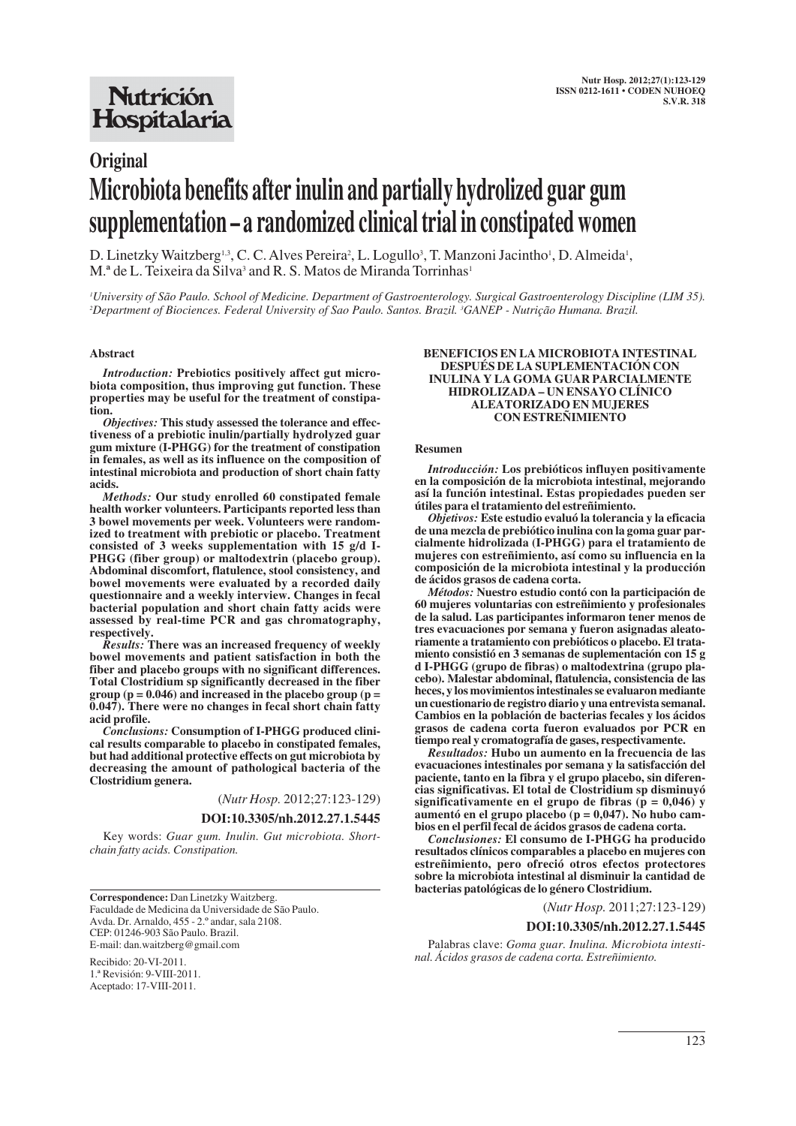## **Nutrición** Hospitalaria

# **Original Microbiota benefits after inulin and partially hydrolized guar gum supplementation – a randomized clinical trial in constipated women**

D. Linetzky Waitzberg<sup>1,3</sup>, C. C. Alves Pereira<sup>2</sup>, L. Logullo<sup>3</sup>, T. Manzoni Jacintho<sup>1</sup>, D. Almeida<sup>1</sup>, M.<sup>ª</sup> de L. Teixeira da Silva<sup>3</sup> and R. S. Matos de Miranda Torrinhas<sup>1</sup>

*1 University of São Paulo. School of Medicine. Department of Gastroenterology. Surgical Gastroenterology Discipline (LIM 35). 2 Department of Biociences. Federal University of Sao Paulo. Santos. Brazil. 3 GANEP - Nutrição Humana. Brazil.*

#### **Abstract**

*Introduction:* **Prebiotics positively affect gut microbiota composition, thus improving gut function. These properties may be useful for the treatment of constipation.**

*Objectives:* **This study assessed the tolerance and effectiveness of a prebiotic inulin/partially hydrolyzed guar gum mixture (I-PHGG) for the treatment of constipation in females, as well as its influence on the composition of intestinal microbiota and production of short chain fatty acids.**

*Methods:* **Our study enrolled 60 constipated female health worker volunteers. Participants reported less than 3 bowel movements per week. Volunteers were randomized to treatment with prebiotic or placebo. Treatment consisted of 3 weeks supplementation with 15 g/d I-PHGG (fiber group) or maltodextrin (placebo group). Abdominal discomfort, flatulence, stool consistency, and bowel movements were evaluated by a recorded daily questionnaire and a weekly interview. Changes in fecal bacterial population and short chain fatty acids were assessed by real-time PCR and gas chromatography, respectively.**

*Results:* **There was an increased frequency of weekly bowel movements and patient satisfaction in both the fiber and placebo groups with no significant differences. Total Clostridium sp significantly decreased in the fiber group (p = 0.046) and increased in the placebo group (p = 0.047). There were no changes in fecal short chain fatty acid profile.** 

*Conclusions:* **Consumption of I-PHGG produced clinical results comparable to placebo in constipated females, but had additional protective effects on gut microbiota by decreasing the amount of pathological bacteria of the Clostridium genera.**

(*Nutr Hosp.* 2012;27:123-129)

#### **DOI:10.3305/nh.2012.27.1.5445**

Key words: *Guar gum. Inulin. Gut microbiota. Shortchain fatty acids. Constipation.*

**Correspondence:** Dan Linetzky Waitzberg. Faculdade de Medicina da Universidade de São Paulo. Avda. Dr. Arnaldo, 455 - 2.º andar, sala 2108. CEP: 01246-903 São Paulo. Brazil. E-mail: dan.waitzberg@gmail.com

Recibido: 20-VI-2011. 1.ª Revisión: 9-VIII-2011. Aceptado: 17-VIII-2011.

#### **BENEFICIOS EN LA MICROBIOTA INTESTINAL DESPUÉS DE LA SUPLEMENTACIÓN CON INULINA Y LA GOMA GUAR PARCIALMENTE HIDROLIZADA – UN ENSAYO CLÍNICO ALEATORIZADO EN MUJERES CON ESTREÑIMIENTO**

#### **Resumen**

*Introducción:* **Los prebióticos influyen positivamente en la composición de la microbiota intestinal, mejorando así la función intestinal. Estas propiedades pueden ser útiles para el tratamiento del estreñimiento.** 

*Objetivos:* **Este estudio evaluó la tolerancia y la eficacia de una mezcla de prebiótico inulina con la goma guar parcialmente hidrolizada (I-PHGG) para el tratamiento de mujeres con estreñimiento, así como su influencia en la composición de la microbiota intestinal y la producción de ácidos grasos de cadena corta.**

*Métodos:* **Nuestro estudio contó con la participación de 60 mujeres voluntarias con estreñimiento y profesionales de la salud. Las participantes informaron tener menos de tres evacuaciones por semana y fueron asignadas aleatoriamente a tratamiento con prebióticos o placebo. El tratamiento consistió en 3 semanas de suplementación con 15 g d I-PHGG (grupo de fibras) o maltodextrina (grupo placebo). Malestar abdominal, flatulencia, consistencia de las heces, y los movimientos intestinales se evaluaron mediante un cuestionario de registro diario y una entrevista semanal. Cambios en la población de bacterias fecales y los ácidos grasos de cadena corta fueron evaluados por PCR en tiempo real y cromatografía de gases, respectivamente.** 

*Resultados:* **Hubo un aumento en la frecuencia de las evacuaciones intestinales por semana y la satisfacción del paciente, tanto en la fibra y el grupo placebo, sin diferencias significativas. El total de Clostridium sp disminuyó significativamente en el grupo de fibras (p = 0,046) y aumentó en el grupo placebo (p = 0,047). No hubo cambios en el perfil fecal de ácidos grasos de cadena corta.**

*Conclusiones:* **El consumo de I-PHGG ha producido resultados clínicos comparables a placebo en mujeres con estreñimiento, pero ofreció otros efectos protectores sobre la microbiota intestinal al disminuir la cantidad de bacterias patológicas de lo género Clostridium.**

(*Nutr Hosp.* 2011;27:123-129)

#### **DOI:10.3305/nh.2012.27.1.5445**

Palabras clave: *Goma guar. Inulina. Microbiota intestinal. Ácidos grasos de cadena corta. Estreñimiento.*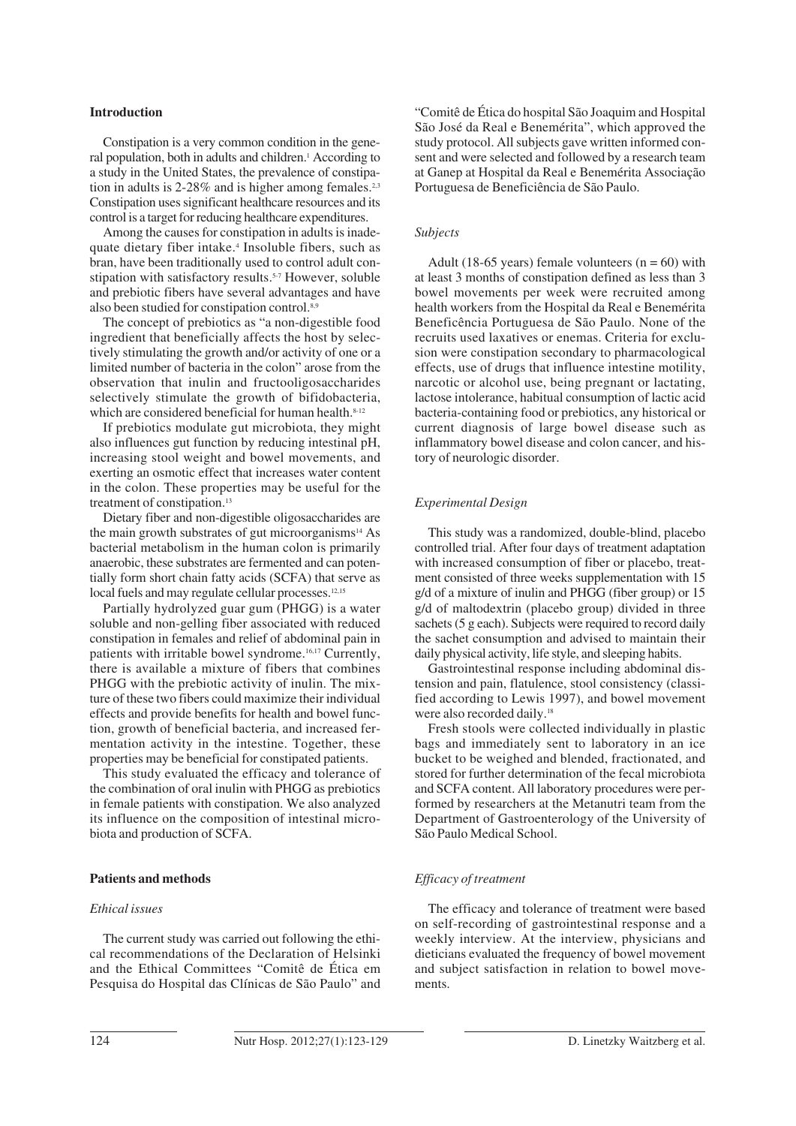#### **Introduction**

Constipation is a very common condition in the general population, both in adults and children.<sup>1</sup> According to a study in the United States, the prevalence of constipation in adults is  $2-28\%$  and is higher among females.<sup>2,3</sup> Constipation uses significant healthcare resources and its control is a target for reducing healthcare expenditures.

Among the causes for constipation in adults is inadequate dietary fiber intake.4 Insoluble fibers, such as bran, have been traditionally used to control adult constipation with satisfactory results.<sup>5-7</sup> However, soluble and prebiotic fibers have several advantages and have also been studied for constipation control.8,9

The concept of prebiotics as "a non-digestible food ingredient that beneficially affects the host by selectively stimulating the growth and/or activity of one or a limited number of bacteria in the colon" arose from the observation that inulin and fructooligosaccharides selectively stimulate the growth of bifidobacteria, which are considered beneficial for human health.<sup>8-12</sup>

If prebiotics modulate gut microbiota, they might also influences gut function by reducing intestinal pH, increasing stool weight and bowel movements, and exerting an osmotic effect that increases water content in the colon. These properties may be useful for the treatment of constipation.<sup>13</sup>

Dietary fiber and non-digestible oligosaccharides are the main growth substrates of gut microorganisms $14$  As bacterial metabolism in the human colon is primarily anaerobic, these substrates are fermented and can potentially form short chain fatty acids (SCFA) that serve as local fuels and may regulate cellular processes.<sup>12,15</sup>

Partially hydrolyzed guar gum (PHGG) is a water soluble and non-gelling fiber associated with reduced constipation in females and relief of abdominal pain in patients with irritable bowel syndrome.16,17 Currently, there is available a mixture of fibers that combines PHGG with the prebiotic activity of inulin. The mixture of these two fibers could maximize their individual effects and provide benefits for health and bowel function, growth of beneficial bacteria, and increased fermentation activity in the intestine. Together, these properties may be beneficial for constipated patients.

This study evaluated the efficacy and tolerance of the combination of oral inulin with PHGG as prebiotics in female patients with constipation. We also analyzed its influence on the composition of intestinal microbiota and production of SCFA.

## **Patients and methods**

#### *Ethical issues*

The current study was carried out following the ethical recommendations of the Declaration of Helsinki and the Ethical Committees "Comitê de Ética em Pesquisa do Hospital das Clínicas de São Paulo" and "Comitê de Ética do hospital São Joaquim and Hospital São José da Real e Benemérita", which approved the study protocol. All subjects gave written informed consent and were selected and followed by a research team at Ganep at Hospital da Real e Benemérita Associação Portuguesa de Beneficiência de São Paulo.

#### *Subjects*

Adult (18-65 years) female volunteers ( $n = 60$ ) with at least 3 months of constipation defined as less than 3 bowel movements per week were recruited among health workers from the Hospital da Real e Benemérita Beneficência Portuguesa de São Paulo. None of the recruits used laxatives or enemas. Criteria for exclusion were constipation secondary to pharmacological effects, use of drugs that influence intestine motility, narcotic or alcohol use, being pregnant or lactating, lactose intolerance, habitual consumption of lactic acid bacteria-containing food or prebiotics, any historical or current diagnosis of large bowel disease such as inflammatory bowel disease and colon cancer, and history of neurologic disorder.

## *Experimental Design*

This study was a randomized, double-blind, placebo controlled trial. After four days of treatment adaptation with increased consumption of fiber or placebo, treatment consisted of three weeks supplementation with 15 g/d of a mixture of inulin and PHGG (fiber group) or 15 g/d of maltodextrin (placebo group) divided in three sachets (5 g each). Subjects were required to record daily the sachet consumption and advised to maintain their daily physical activity, life style, and sleeping habits.

Gastrointestinal response including abdominal distension and pain, flatulence, stool consistency (classified according to Lewis 1997), and bowel movement were also recorded daily.<sup>18</sup>

Fresh stools were collected individually in plastic bags and immediately sent to laboratory in an ice bucket to be weighed and blended, fractionated, and stored for further determination of the fecal microbiota and SCFA content. All laboratory procedures were performed by researchers at the Metanutri team from the Department of Gastroenterology of the University of São Paulo Medical School.

#### *Efficacy of treatment*

The efficacy and tolerance of treatment were based on self-recording of gastrointestinal response and a weekly interview. At the interview, physicians and dieticians evaluated the frequency of bowel movement and subject satisfaction in relation to bowel movements.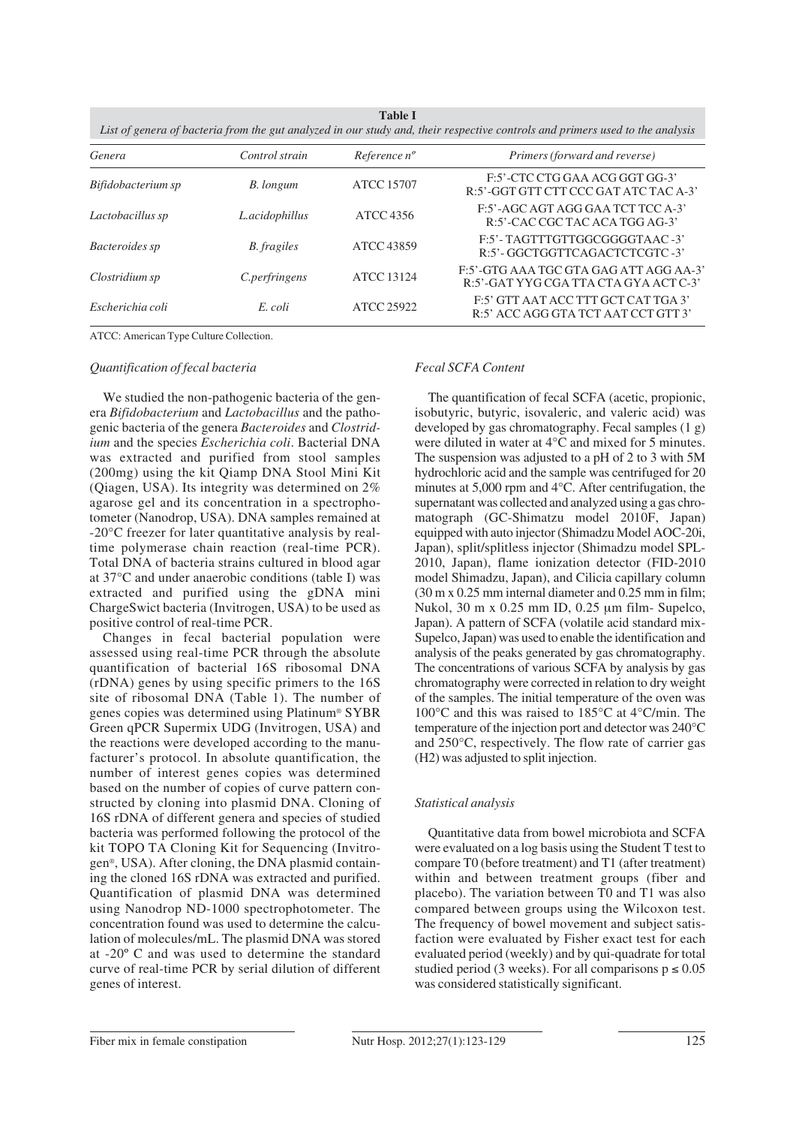| List of genera of bacteria from the gut analyzed in our study and, their respective controls and primers used to the analysis |                      |                          |                                                                                 |  |  |  |
|-------------------------------------------------------------------------------------------------------------------------------|----------------------|--------------------------|---------------------------------------------------------------------------------|--|--|--|
| Genera                                                                                                                        | Control strain       | Reference n <sup>o</sup> | Primers (forward and reverse)                                                   |  |  |  |
| Bifidobacterium sp                                                                                                            | B. longum            | ATCC 15707               | F:5'-CTC CTG GAA ACG GGT GG-3'<br>R:5'-GGT GTT CTT CCC GAT ATC TAC A-3'         |  |  |  |
| Lactobacillus sp                                                                                                              | L.acidophillus       | ATCC 4356                | F:5'-AGC AGT AGG GAA TCT TCC A-3'<br>R:5'-CAC CGC TAC ACA TGG AG-3'             |  |  |  |
| Bacteroides sp                                                                                                                | B. fragiles          | ATCC 43859               | F:5'-TAGTTTGTTGGCGGGGTAAC-3'<br>R:5'-GGCTGGTTCAGACTCTCGTC-3'                    |  |  |  |
| Clostridium sp                                                                                                                | <i>C.perfringens</i> | ATCC 13124               | F:5'-GTG AAA TGC GTA GAG ATT AGG AA-3'<br>R:5'-GAT YYG CGA TTA CTA GYA ACT C-3' |  |  |  |
| Escherichia coli                                                                                                              | E. coli              | ATCC 25922               | F:5' GTT AAT ACC TTT GCT CAT TGA 3'<br>R:5' ACC AGG GTA TCT AAT CCT GTT 3'      |  |  |  |

**Table I**

ATCC: American Type Culture Collection.

#### *Quantification of fecal bacteria*

We studied the non-pathogenic bacteria of the genera *Bifidobacterium* and *Lactobacillus* and the pathogenic bacteria of the genera *Bacteroides* and *Clostridium* and the species *Escherichia coli*. Bacterial DNA was extracted and purified from stool samples (200mg) using the kit Qiamp DNA Stool Mini Kit (Qiagen, USA). Its integrity was determined on 2% agarose gel and its concentration in a spectrophotometer (Nanodrop, USA). DNA samples remained at -20°C freezer for later quantitative analysis by realtime polymerase chain reaction (real-time PCR). Total DNA of bacteria strains cultured in blood agar at 37°C and under anaerobic conditions (table I) was extracted and purified using the gDNA mini ChargeSwict bacteria (Invitrogen, USA) to be used as positive control of real-time PCR.

Changes in fecal bacterial population were assessed using real-time PCR through the absolute quantification of bacterial 16S ribosomal DNA (rDNA) genes by using specific primers to the 16S site of ribosomal DNA (Table 1). The number of genes copies was determined using Platinum® SYBR Green qPCR Supermix UDG (Invitrogen, USA) and the reactions were developed according to the manufacturer's protocol. In absolute quantification, the number of interest genes copies was determined based on the number of copies of curve pattern constructed by cloning into plasmid DNA. Cloning of 16S rDNA of different genera and species of studied bacteria was performed following the protocol of the kit TOPO TA Cloning Kit for Sequencing (Invitrogen®, USA). After cloning, the DNA plasmid containing the cloned 16S rDNA was extracted and purified. Quantification of plasmid DNA was determined using Nanodrop ND-1000 spectrophotometer. The concentration found was used to determine the calculation of molecules/mL. The plasmid DNA was stored at -20º C and was used to determine the standard curve of real-time PCR by serial dilution of different genes of interest.

#### *Fecal SCFA Content*

The quantification of fecal SCFA (acetic, propionic, isobutyric, butyric, isovaleric, and valeric acid) was developed by gas chromatography. Fecal samples (1 g) were diluted in water at 4°C and mixed for 5 minutes. The suspension was adjusted to a pH of 2 to 3 with 5M hydrochloric acid and the sample was centrifuged for 20 minutes at 5,000 rpm and 4°C. After centrifugation, the supernatant was collected and analyzed using a gas chromatograph (GC-Shimatzu model 2010F, Japan) equipped with auto injector (Shimadzu Model AOC-20i, Japan), split/splitless injector (Shimadzu model SPL-2010, Japan), flame ionization detector (FID-2010 model Shimadzu, Japan), and Cilicia capillary column (30 m x 0.25 mm internal diameter and 0.25 mm in film; Nukol, 30 m x 0.25 mm ID, 0.25 μm film- Supelco, Japan). A pattern of SCFA (volatile acid standard mix-Supelco, Japan) was used to enable the identification and analysis of the peaks generated by gas chromatography. The concentrations of various SCFA by analysis by gas chromatography were corrected in relation to dry weight of the samples. The initial temperature of the oven was 100°C and this was raised to 185°C at 4°C/min. The temperature of the injection port and detector was 240°C and 250°C, respectively. The flow rate of carrier gas (H2) was adjusted to split injection.

## *Statistical analysis*

Quantitative data from bowel microbiota and SCFA were evaluated on a log basis using the Student T test to compare T0 (before treatment) and T1 (after treatment) within and between treatment groups (fiber and placebo). The variation between T0 and T1 was also compared between groups using the Wilcoxon test. The frequency of bowel movement and subject satisfaction were evaluated by Fisher exact test for each evaluated period (weekly) and by qui-quadrate for total studied period (3 weeks). For all comparisons  $p \le 0.05$ was considered statistically significant.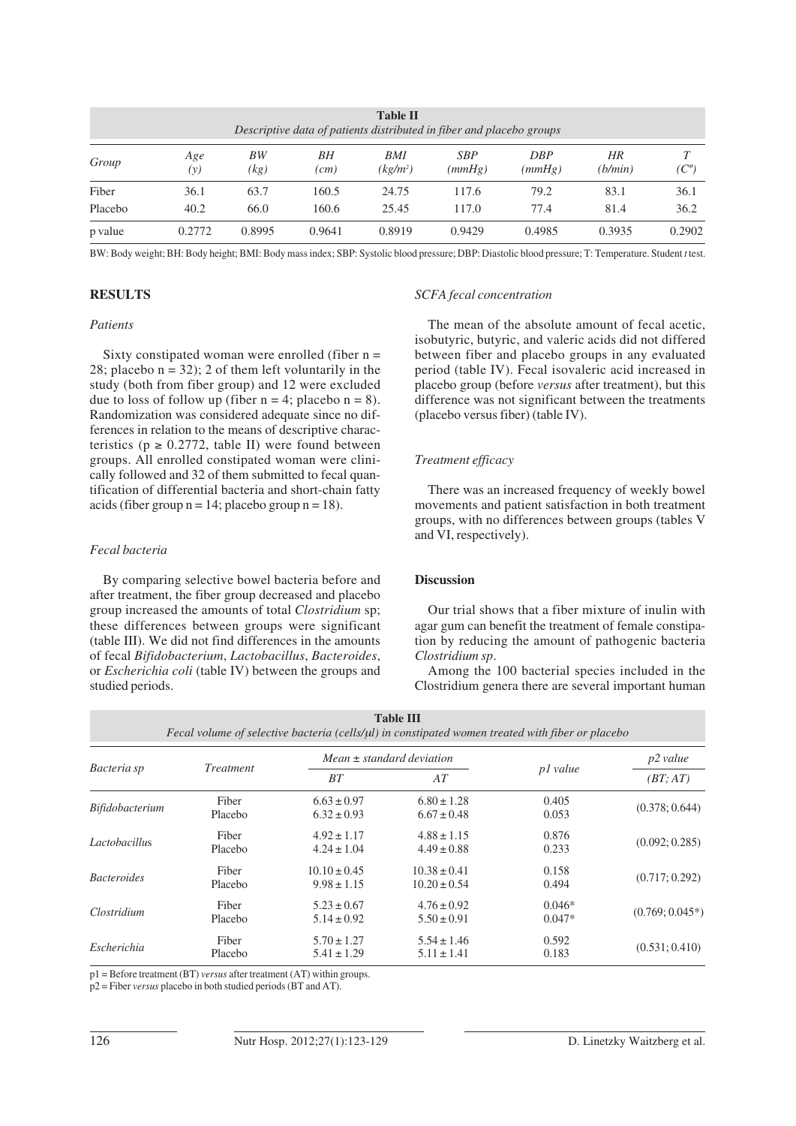| <b>Table II</b><br>Descriptive data of patients distributed in fiber and placebo groups |            |            |            |                             |                      |                      |               |         |
|-----------------------------------------------------------------------------------------|------------|------------|------------|-----------------------------|----------------------|----------------------|---------------|---------|
| Group                                                                                   | Age<br>(y) | BW<br>(kg) | BН<br>(cm) | BMI<br>(kg/m <sup>2</sup> ) | <b>SBP</b><br>(mmHg) | <b>DBP</b><br>(mmHg) | HR<br>(b/min) | $(C^o)$ |
| Fiber                                                                                   | 36.1       | 63.7       | 160.5      | 24.75                       | 117.6                | 79.2                 | 83.1          | 36.1    |
| Placebo                                                                                 | 40.2       | 66.0       | 160.6      | 25.45                       | 117.0                | 77.4                 | 81.4          | 36.2    |
| p value                                                                                 | 0.2772     | 0.8995     | 0.9641     | 0.8919                      | 0.9429               | 0.4985               | 0.3935        | 0.2902  |

BW: Body weight; BH: Body height; BMI: Body mass index; SBP: Systolic blood pressure; DBP: Diastolic blood pressure; T: Temperature. Student *t* test.

## **RESULTS**

## *Patients*

Sixty constipated woman were enrolled (fiber  $n =$ 28; placebo  $n = 32$ ); 2 of them left voluntarily in the study (both from fiber group) and 12 were excluded due to loss of follow up (fiber  $n = 4$ ; placebo  $n = 8$ ). Randomization was considered adequate since no differences in relation to the means of descriptive characteristics ( $p \ge 0.2772$ , table II) were found between groups. All enrolled constipated woman were clinically followed and 32 of them submitted to fecal quantification of differential bacteria and short-chain fatty acids (fiber group  $n = 14$ ; placebo group  $n = 18$ ).

## *Fecal bacteria*

By comparing selective bowel bacteria before and after treatment, the fiber group decreased and placebo group increased the amounts of total *Clostridium* sp; these differences between groups were significant (table III). We did not find differences in the amounts of fecal *Bifidobacterium*, *Lactobacillus*, *Bacteroides*, or *Escherichia coli* (table IV) between the groups and studied periods.

## *SCFA fecal concentration*

The mean of the absolute amount of fecal acetic, isobutyric, butyric, and valeric acids did not differed between fiber and placebo groups in any evaluated period (table IV). Fecal isovaleric acid increased in placebo group (before *versus* after treatment), but this difference was not significant between the treatments (placebo versus fiber) (table IV).

## *Treatment efficacy*

There was an increased frequency of weekly bowel movements and patient satisfaction in both treatment groups, with no differences between groups (tables V and VI, respectively).

## **Discussion**

Our trial shows that a fiber mixture of inulin with agar gum can benefit the treatment of female constipation by reducing the amount of pathogenic bacteria *Clostridium sp*.

Among the 100 bacterial species included in the Clostridium genera there are several important human

| <b>Table III</b><br>Fecal volume of selective bacteria (cells/µl) in constipated women treated with fiber or placebo |                  |                                     |                                      |                      |                   |  |  |
|----------------------------------------------------------------------------------------------------------------------|------------------|-------------------------------------|--------------------------------------|----------------------|-------------------|--|--|
| Bacteria sp                                                                                                          | Treatment        |                                     | $Mean \pm standard deviation$        | p1 value             | p2 value          |  |  |
|                                                                                                                      |                  | BT                                  | AT                                   |                      | (BT; AT)          |  |  |
| <i>Bifidobacterium</i>                                                                                               | Fiber<br>Placebo | $6.63 \pm 0.97$<br>$6.32 \pm 0.93$  | $6.80 \pm 1.28$<br>$6.67 \pm 0.48$   | 0.405<br>0.053       | (0.378; 0.644)    |  |  |
| <i>Lactobacillus</i>                                                                                                 | Fiber<br>Placebo | $4.92 \pm 1.17$<br>$4.24 \pm 1.04$  | $4.88 \pm 1.15$<br>$4.49 \pm 0.88$   | 0.876<br>0.233       | (0.092; 0.285)    |  |  |
| <i>Bacteroides</i>                                                                                                   | Fiber<br>Placebo | $10.10 \pm 0.45$<br>$9.98 \pm 1.15$ | $10.38 \pm 0.41$<br>$10.20 \pm 0.54$ | 0.158<br>0.494       | (0.717; 0.292)    |  |  |
| Clostridium                                                                                                          | Fiber<br>Placebo | $5.23 \pm 0.67$<br>$5.14 \pm 0.92$  | $4.76 \pm 0.92$<br>$5.50 \pm 0.91$   | $0.046*$<br>$0.047*$ | $(0.769; 0.045*)$ |  |  |
| Escherichia                                                                                                          | Fiber<br>Placebo | $5.70 \pm 1.27$<br>$5.41 \pm 1.29$  | $5.54 \pm 1.46$<br>$5.11 \pm 1.41$   | 0.592<br>0.183       | (0.531; 0.410)    |  |  |

p1 = Before treatment (BT) *versus* after treatment (AT) within groups.

p2 = Fiber *versus* placebo in both studied periods (BT and AT).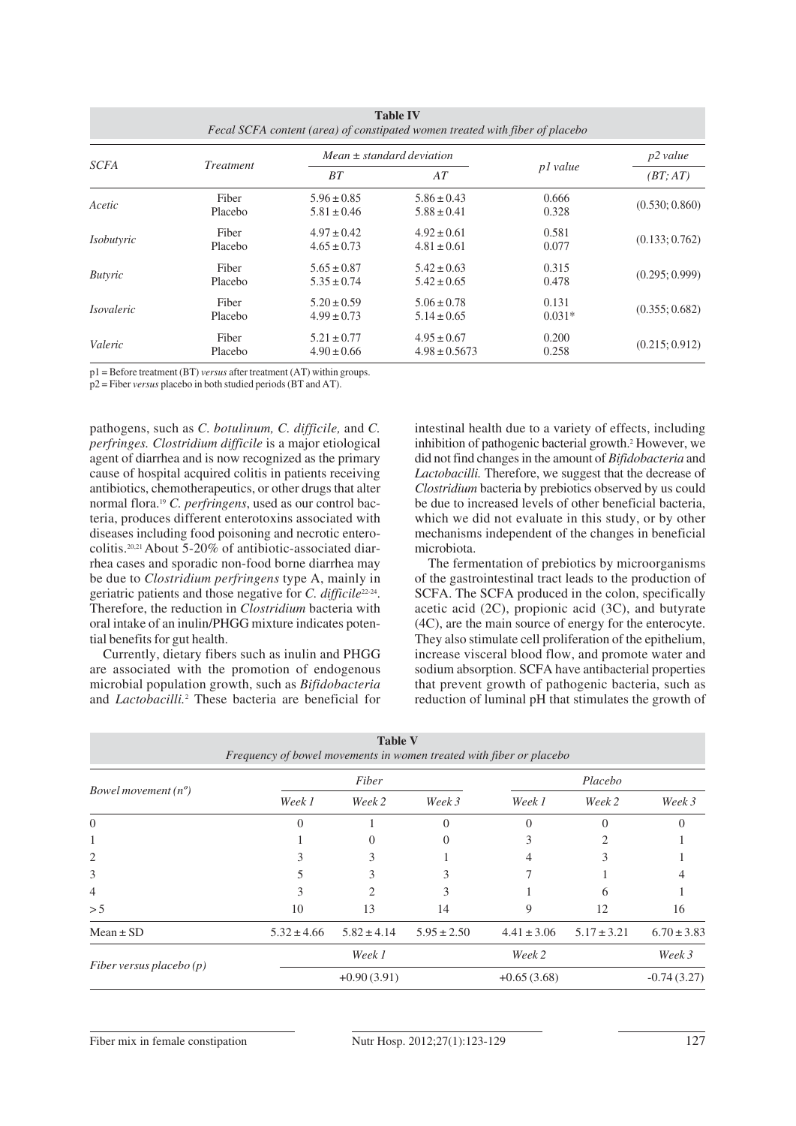| <b>Table IV</b><br>Fecal SCFA content (area) of constipated women treated with fiber of placebo |                  |                                    |                                      |                   |                |  |  |
|-------------------------------------------------------------------------------------------------|------------------|------------------------------------|--------------------------------------|-------------------|----------------|--|--|
| <i>SCFA</i>                                                                                     | <i>Treatment</i> |                                    | $Mean \pm standard deviation$        |                   | p2 value       |  |  |
|                                                                                                 |                  | BT                                 | AT                                   | p1 value          | (BT; AT)       |  |  |
| Acetic                                                                                          | Fiber<br>Placebo | $5.96 \pm 0.85$<br>$5.81 \pm 0.46$ | $5.86 \pm 0.43$<br>$5.88 \pm 0.41$   | 0.666<br>0.328    | (0.530; 0.860) |  |  |
| <i>Isobutyric</i>                                                                               | Fiber<br>Placebo | $4.97 \pm 0.42$<br>$4.65 \pm 0.73$ | $4.92 \pm 0.61$<br>$4.81 \pm 0.61$   | 0.581<br>0.077    | (0.133; 0.762) |  |  |
| <b>Butyric</b>                                                                                  | Fiber<br>Placebo | $5.65 \pm 0.87$<br>$5.35 \pm 0.74$ | $5.42 \pm 0.63$<br>$5.42 \pm 0.65$   | 0.315<br>0.478    | (0.295; 0.999) |  |  |
| <i>Isovaleric</i>                                                                               | Fiber<br>Placebo | $5.20 \pm 0.59$<br>$4.99 \pm 0.73$ | $5.06 \pm 0.78$<br>$5.14 \pm 0.65$   | 0.131<br>$0.031*$ | (0.355; 0.682) |  |  |
| Valeric                                                                                         | Fiber<br>Placebo | $5.21 \pm 0.77$<br>$4.90 \pm 0.66$ | $4.95 \pm 0.67$<br>$4.98 \pm 0.5673$ | 0.200<br>0.258    | (0.215; 0.912) |  |  |

p1 = Before treatment (BT) *versus* after treatment (AT) within groups.

p2 = Fiber *versus* placebo in both studied periods (BT and AT).

pathogens, such as *C. botulinum, C. difficile,* and *C. perfringes. Clostridium difficile* is a major etiological agent of diarrhea and is now recognized as the primary cause of hospital acquired colitis in patients receiving antibiotics, chemotherapeutics, or other drugs that alter normal flora.19 *C. perfringens*, used as our control bacteria, produces different enterotoxins associated with diseases including food poisoning and necrotic enterocolitis.<sup>20,21</sup> About 5-20% of antibiotic-associated diarrhea cases and sporadic non-food borne diarrhea may be due to *Clostridium perfringens* type A, mainly in geriatric patients and those negative for *C. difficile*22-24. Therefore, the reduction in *Clostridium* bacteria with oral intake of an inulin/PHGG mixture indicates potential benefits for gut health.

Currently, dietary fibers such as inulin and PHGG are associated with the promotion of endogenous microbial population growth, such as *Bifidobacteria* and *Lactobacilli.*<sup>2</sup> These bacteria are beneficial for intestinal health due to a variety of effects, including inhibition of pathogenic bacterial growth.<sup>2</sup> However, we did not find changes in the amount of *Bifidobacteria* and *Lactobacilli.* Therefore, we suggest that the decrease of *Clostridium* bacteria by prebiotics observed by us could be due to increased levels of other beneficial bacteria, which we did not evaluate in this study, or by other mechanisms independent of the changes in beneficial microbiota.

The fermentation of prebiotics by microorganisms of the gastrointestinal tract leads to the production of SCFA. The SCFA produced in the colon, specifically acetic acid (2C), propionic acid (3C), and butyrate (4C), are the main source of energy for the enterocyte. They also stimulate cell proliferation of the epithelium, increase visceral blood flow, and promote water and sodium absorption. SCFA have antibacterial properties that prevent growth of pathogenic bacteria, such as reduction of luminal pH that stimulates the growth of

| <b>Table V</b><br>Frequency of bowel movements in women treated with fiber or placebo |                 |                 |                  |                 |                 |                 |  |
|---------------------------------------------------------------------------------------|-----------------|-----------------|------------------|-----------------|-----------------|-----------------|--|
| Bowel movement $(n^o)$                                                                |                 | Fiber           |                  | Placebo         |                 |                 |  |
|                                                                                       | Week 1          | Week 2          | Week 3           | Week 1          | Week 2          | Week 3          |  |
| $\overline{0}$                                                                        | 0               |                 | $\Omega$         | 0               | 0               | $\theta$        |  |
|                                                                                       |                 | $\mathcal{L}$   | $\left( \right)$ |                 |                 |                 |  |
| 2                                                                                     |                 | 3               |                  | 4               |                 |                 |  |
| 3                                                                                     |                 |                 | κ                |                 |                 |                 |  |
| 4                                                                                     | 3               | 2               | 3                |                 | 6               |                 |  |
| > 5                                                                                   | 10              | 13              | 14               | 9               | 12              | 16              |  |
| $Mean \pm SD$                                                                         | $5.32 \pm 4.66$ | $5.82 \pm 4.14$ | $5.95 \pm 2.50$  | $4.41 \pm 3.06$ | $5.17 \pm 3.21$ | $6.70 \pm 3.83$ |  |
|                                                                                       |                 | Week 1          |                  | Week 2          |                 | Week 3          |  |
| Fiber versus placebo $(p)$                                                            |                 | $+0.90(3.91)$   |                  | $+0.65(3.68)$   |                 | $-0.74(3.27)$   |  |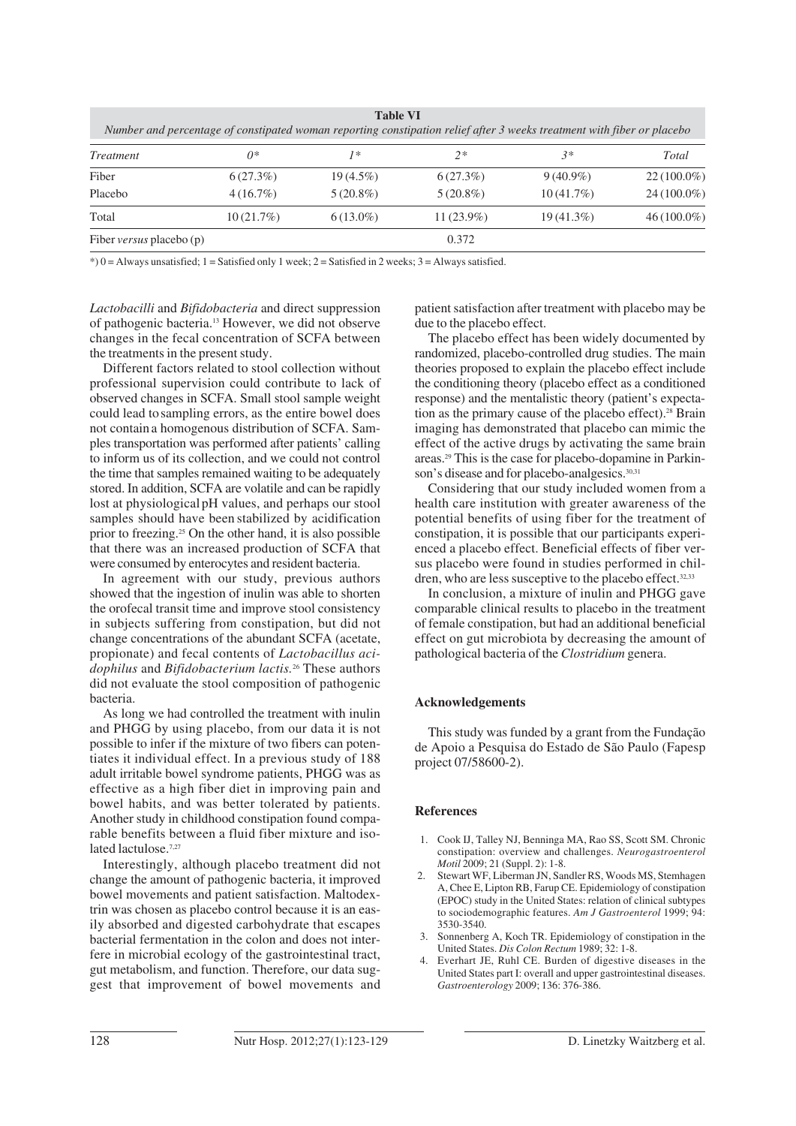| <b>Table VI</b><br>Number and percentage of constipated woman reporting constipation relief after 3 weeks treatment with fiber or placebo |              |             |              |              |               |  |  |
|-------------------------------------------------------------------------------------------------------------------------------------------|--------------|-------------|--------------|--------------|---------------|--|--|
| <i>Treatment</i>                                                                                                                          | $0*$         | $1*$        | $2*$         | 3*           | Total         |  |  |
| Fiber                                                                                                                                     | 6(27.3%)     | $19(4.5\%)$ | 6(27.3%)     | $9(40.9\%)$  | $22(100.0\%)$ |  |  |
| Placebo                                                                                                                                   | $4(16.7\%)$  | $5(20.8\%)$ | $5(20.8\%)$  | $10(41.7\%)$ | $24(100.0\%)$ |  |  |
| Total                                                                                                                                     | $10(21.7\%)$ | $6(13.0\%)$ | $11(23.9\%)$ | $19(41.3\%)$ | $46(100.0\%)$ |  |  |
| Fiber <i>versus</i> placebo (p)                                                                                                           |              |             | 0.372        |              |               |  |  |

 $*$ ) 0 = Always unsatisfied; 1 = Satisfied only 1 week; 2 = Satisfied in 2 weeks; 3 = Always satisfied.

*Lactobacilli* and *Bifidobacteria* and direct suppression of pathogenic bacteria.13 However, we did not observe changes in the fecal concentration of SCFA between the treatments in the present study.

Different factors related to stool collection without professional supervision could contribute to lack of observed changes in SCFA. Small stool sample weight could lead tosampling errors, as the entire bowel does not containa homogenous distribution of SCFA. Samples transportation was performed after patients' calling to inform us of its collection, and we could not control the time that samples remained waiting to be adequately stored. In addition, SCFA are volatile and can be rapidly lost at physiological pH values, and perhaps our stool samples should have been stabilized by acidification prior to freezing.25 On the other hand, it is also possible that there was an increased production of SCFA that were consumed by enterocytes and resident bacteria.

In agreement with our study, previous authors showed that the ingestion of inulin was able to shorten the orofecal transit time and improve stool consistency in subjects suffering from constipation, but did not change concentrations of the abundant SCFA (acetate, propionate) and fecal contents of *Lactobacillus acidophilus* and *Bifidobacterium lactis.*<sup>26</sup> These authors did not evaluate the stool composition of pathogenic bacteria.

As long we had controlled the treatment with inulin and PHGG by using placebo, from our data it is not possible to infer if the mixture of two fibers can potentiates it individual effect. In a previous study of 188 adult irritable bowel syndrome patients, PHGG was as effective as a high fiber diet in improving pain and bowel habits, and was better tolerated by patients. Another study in childhood constipation found comparable benefits between a fluid fiber mixture and isolated lactulose.<sup>7,27</sup>

Interestingly, although placebo treatment did not change the amount of pathogenic bacteria, it improved bowel movements and patient satisfaction. Maltodextrin was chosen as placebo control because it is an easily absorbed and digested carbohydrate that escapes bacterial fermentation in the colon and does not interfere in microbial ecology of the gastrointestinal tract, gut metabolism, and function. Therefore, our data suggest that improvement of bowel movements and

patient satisfaction after treatment with placebo may be due to the placebo effect.

The placebo effect has been widely documented by randomized, placebo-controlled drug studies. The main theories proposed to explain the placebo effect include the conditioning theory (placebo effect as a conditioned response) and the mentalistic theory (patient's expectation as the primary cause of the placebo effect).28 Brain imaging has demonstrated that placebo can mimic the effect of the active drugs by activating the same brain areas.29 This is the case for placebo-dopamine in Parkinson's disease and for placebo-analgesics.<sup>30,31</sup>

Considering that our study included women from a health care institution with greater awareness of the potential benefits of using fiber for the treatment of constipation, it is possible that our participants experienced a placebo effect. Beneficial effects of fiber versus placebo were found in studies performed in children, who are less susceptive to the placebo effect. $32,33$ 

In conclusion, a mixture of inulin and PHGG gave comparable clinical results to placebo in the treatment of female constipation, but had an additional beneficial effect on gut microbiota by decreasing the amount of pathological bacteria of the *Clostridium* genera.

## **Acknowledgements**

This study was funded by a grant from the Fundação de Apoio a Pesquisa do Estado de São Paulo (Fapesp project 07/58600-2).

## **References**

- 1. Cook IJ, Talley NJ, Benninga MA, Rao SS, Scott SM. Chronic constipation: overview and challenges. *Neurogastroenterol Motil* 2009; 21 (Suppl. 2): 1-8.
- 2. Stewart WF, Liberman JN, Sandler RS, Woods MS, Stemhagen A, Chee E, Lipton RB, Farup CE. Epidemiology of constipation (EPOC) study in the United States: relation of clinical subtypes to sociodemographic features. *Am J Gastroenterol* 1999; 94: 3530-3540.
- 3. Sonnenberg A, Koch TR. Epidemiology of constipation in the United States. *Dis Colon Rectum* 1989; 32: 1-8.
- 4. Everhart JE, Ruhl CE. Burden of digestive diseases in the United States part I: overall and upper gastrointestinal diseases. *Gastroenterology* 2009; 136: 376-386.